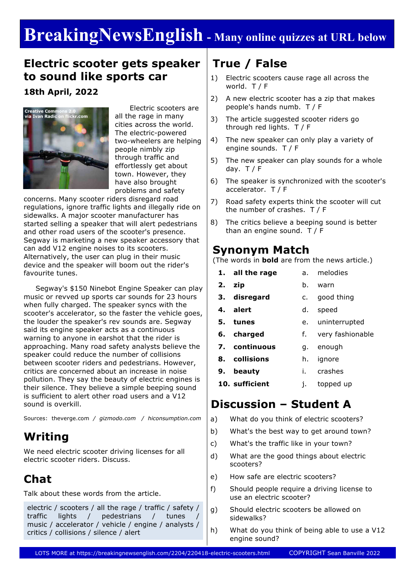# **BreakingNewsEnglish - Many online quizzes at URL below**

### **Electric scooter gets speaker to sound like sports car**

**18th April, 2022**



 Electric scooters are all the rage in many cities across the world. The electric-powered two-wheelers are helping people nimbly zip through traffic and effortlessly get about town. However, they have also brought problems and safety

concerns. Many scooter riders disregard road regulations, ignore traffic lights and illegally ride on sidewalks. A major scooter manufacturer has started selling a speaker that will alert pedestrians and other road users of the scooter's presence. Segway is marketing a new speaker accessory that can add V12 engine noises to its scooters. Alternatively, the user can plug in their music device and the speaker will boom out the rider's favourite tunes.

 Segway's \$150 Ninebot Engine Speaker can play music or revved up sports car sounds for 23 hours when fully charged. The speaker syncs with the scooter's accelerator, so the faster the vehicle goes, the louder the speaker's rev sounds are. Segway said its engine speaker acts as a continuous warning to anyone in earshot that the rider is approaching. Many road safety analysts believe the speaker could reduce the number of collisions between scooter riders and pedestrians. However, critics are concerned about an increase in noise pollution. They say the beauty of electric engines is their silence. They believe a simple beeping sound is sufficient to alert other road users and a V12 sound is overkill.

Sources: theverge.com */ gizmodo.com / hiconsumption.com*

### **Writing**

We need electric scooter driving licenses for all electric scooter riders. Discuss.

### **Chat**

Talk about these words from the article.

electric / scooters / all the rage / traffic / safety / traffic lights / pedestrians / tunes / music / accelerator / vehicle / engine / analysts / critics / collisions / silence / alert

### **True / False**

- 1) Electric scooters cause rage all across the world. T / F
- 2) A new electric scooter has a zip that makes people's hands numb. T / F
- 3) The article suggested scooter riders go through red lights. T / F
- 4) The new speaker can only play a variety of engine sounds. T / F
- 5) The new speaker can play sounds for a whole day.  $T / F$
- 6) The speaker is synchronized with the scooter's accelerator. T / F
- 7) Road safety experts think the scooter will cut the number of crashes. T / F
- 8) The critics believe a beeping sound is better than an engine sound. T / F

#### **Synonym Match**

(The words in **bold** are from the news article.)

- **1. all the rage 2. zip 3. disregard 4. alert 5. tunes 6. charged 7. continuous** a. melodies b. warn c. good thing d. speed e. uninterrupted f. very fashionable g. enough
	- **8. collisions** h. ignore
- **9. beauty** i. crashes
- **10. sufficient** j. topped up

### **Discussion – Student A**

- a) What do you think of electric scooters?
- b) What's the best way to get around town?
- c) What's the traffic like in your town?
- d) What are the good things about electric scooters?
- e) How safe are electric scooters?
- f) Should people require a driving license to use an electric scooter?
- g) Should electric scooters be allowed on sidewalks?
- h) What do you think of being able to use a V12 engine sound?